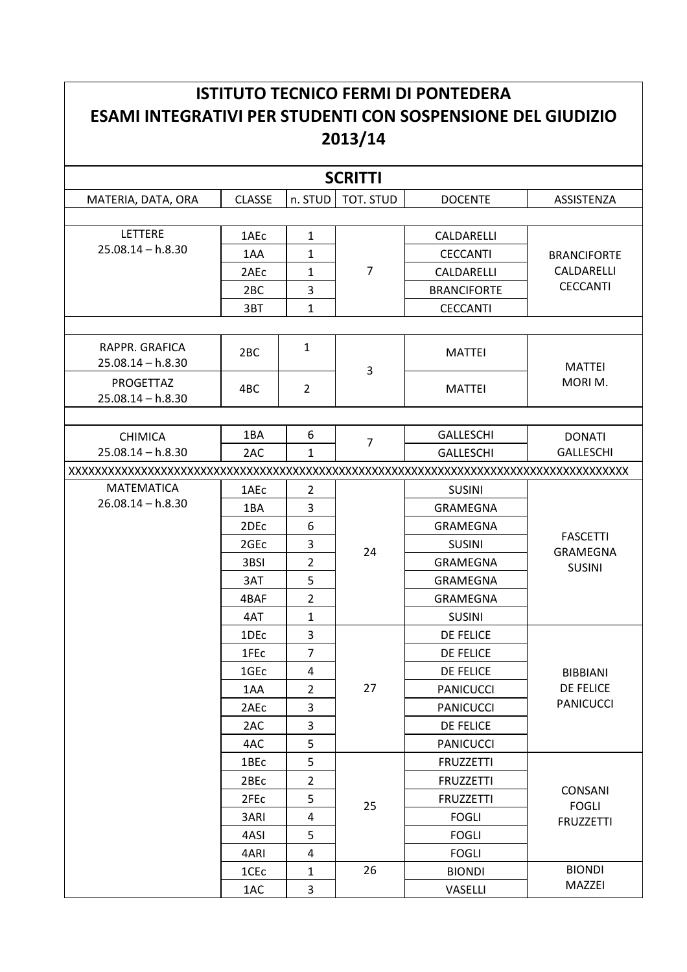## **ISTITUTO TECNICO FERMI DI PONTEDERA ESAMI INTEGRATIVI PER STUDENTI CON SOSPENSIONE DEL GIUDIZIO** 2013/14

| <b>SCRITTI</b>      |                  |                |                |                    |                                |  |
|---------------------|------------------|----------------|----------------|--------------------|--------------------------------|--|
| MATERIA, DATA, ORA  | <b>CLASSE</b>    | n. STUD        | TOT. STUD      | <b>DOCENTE</b>     | ASSISTENZA                     |  |
|                     |                  |                |                |                    |                                |  |
| LETTERE             | 1AEc             | $\mathbf{1}$   |                | CALDARELLI         |                                |  |
| $25.08.14 - h.8.30$ | 1AA              | $\mathbf{1}$   |                | <b>CECCANTI</b>    | <b>BRANCIFORTE</b>             |  |
|                     | 2AEc             | 1              | $\overline{7}$ | CALDARELLI         | CALDARELLI                     |  |
|                     | 2 <sub>BC</sub>  | 3              |                | <b>BRANCIFORTE</b> | <b>CECCANTI</b>                |  |
|                     | 3BT              | $\mathbf{1}$   |                | <b>CECCANTI</b>    |                                |  |
|                     |                  |                |                |                    |                                |  |
| RAPPR. GRAFICA      | 2 <sub>BC</sub>  | $\mathbf{1}$   |                | <b>MATTEI</b>      |                                |  |
| $25.08.14 - h.8.30$ |                  |                | 3              |                    | <b>MATTEI</b>                  |  |
| PROGETTAZ           | 4BC              | $\overline{2}$ |                | <b>MATTEI</b>      | MORIM.                         |  |
| $25.08.14 - h.8.30$ |                  |                |                |                    |                                |  |
|                     |                  |                |                |                    |                                |  |
| <b>CHIMICA</b>      | 1BA              | 6              | $\overline{7}$ | <b>GALLESCHI</b>   | <b>DONATI</b>                  |  |
| $25.08.14 - h.8.30$ | 2AC              | $\mathbf{1}$   |                | <b>GALLESCHI</b>   | <b>GALLESCHI</b>               |  |
|                     |                  |                |                |                    |                                |  |
| <b>MATEMATICA</b>   | 1AE <sub>C</sub> | $\overline{2}$ |                | <b>SUSINI</b>      |                                |  |
| $26.08.14 - h.8.30$ | 1BA              | 3              |                | <b>GRAMEGNA</b>    |                                |  |
|                     | 2DE <sub>c</sub> | 6              |                | <b>GRAMEGNA</b>    | <b>FASCETTI</b>                |  |
|                     | 2GE <sub>c</sub> | 3              | 24             | <b>SUSINI</b>      | <b>GRAMEGNA</b>                |  |
|                     | 3BSI             | $\overline{2}$ |                | <b>GRAMEGNA</b>    | <b>SUSINI</b>                  |  |
|                     | 3AT              | 5              |                | <b>GRAMEGNA</b>    |                                |  |
|                     | 4BAF             | $\overline{2}$ |                | <b>GRAMEGNA</b>    |                                |  |
|                     | 4AT              | $\mathbf{1}$   |                | <b>SUSINI</b>      |                                |  |
|                     | 1DE <sub>c</sub> | 3              |                | DE FELICE          |                                |  |
|                     | 1FEc             | $\overline{7}$ |                | DE FELICE          |                                |  |
|                     | 1GE <sub>c</sub> | 4              |                | DE FELICE          | <b>BIBBIANI</b>                |  |
|                     | 1AA              | $\overline{2}$ | 27             | <b>PANICUCCI</b>   | DE FELICE                      |  |
|                     | 2AEc             | 3              |                | <b>PANICUCCI</b>   | <b>PANICUCCI</b>               |  |
|                     | 2AC              | 3              |                | <b>DE FELICE</b>   |                                |  |
|                     | 4AC              | 5              |                | <b>PANICUCCI</b>   |                                |  |
|                     | 1BEc             | 5              |                | <b>FRUZZETTI</b>   |                                |  |
|                     | 2BEc             | $\overline{2}$ |                | <b>FRUZZETTI</b>   |                                |  |
|                     | 2FEc             | 5              | 25             | <b>FRUZZETTI</b>   | <b>CONSANI</b><br><b>FOGLI</b> |  |
|                     | 3ARI             | 4              |                | <b>FOGLI</b>       | <b>FRUZZETTI</b>               |  |
|                     | 4ASI             | 5              |                | <b>FOGLI</b>       |                                |  |
|                     | 4ARI             | 4              |                | <b>FOGLI</b>       |                                |  |
|                     | 1CE <sub>c</sub> | $\mathbf{1}$   | 26             | <b>BIONDI</b>      | <b>BIONDI</b>                  |  |
|                     | 1AC              | 3              |                | VASELLI            | MAZZEI                         |  |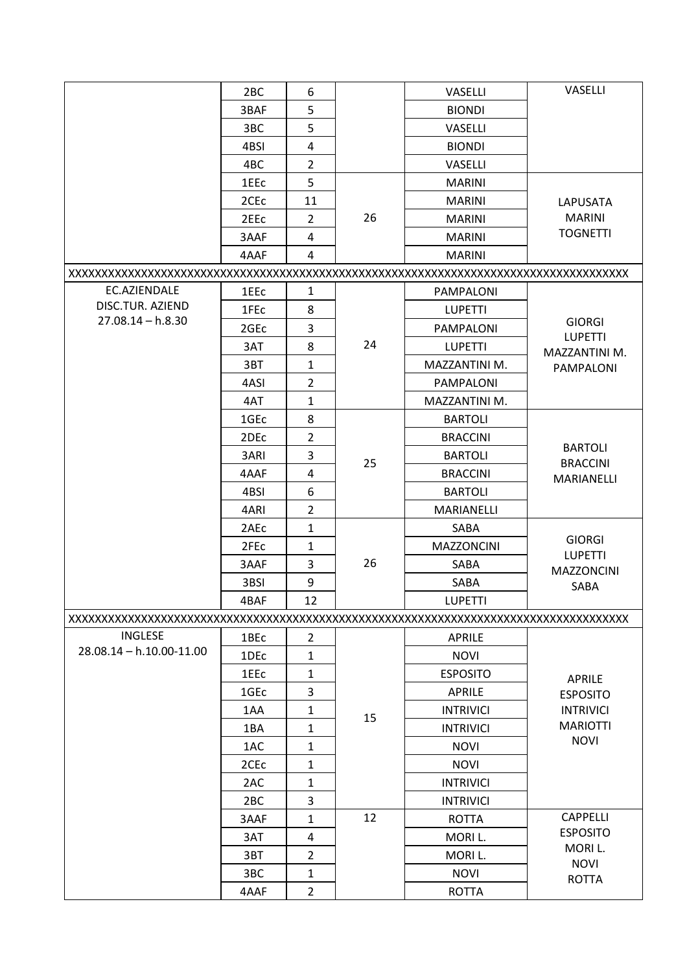|                          | 2BC              | 6              |    | <b>VASELLI</b>    | VASELLI                             |
|--------------------------|------------------|----------------|----|-------------------|-------------------------------------|
|                          | 3BAF             | 5              |    | <b>BIONDI</b>     |                                     |
|                          | 3BC              | 5              |    | <b>VASELLI</b>    |                                     |
|                          | 4BSI             | $\overline{4}$ |    | <b>BIONDI</b>     |                                     |
|                          | 4BC              | $\overline{2}$ |    | VASELLI           |                                     |
|                          | 1EEc             | 5              |    | <b>MARINI</b>     |                                     |
|                          | 2CE <sub>c</sub> | 11             |    | <b>MARINI</b>     | LAPUSATA                            |
|                          | 2EE <sub>C</sub> | $\overline{2}$ | 26 | <b>MARINI</b>     | <b>MARINI</b>                       |
|                          | 3AAF             | $\overline{4}$ |    | <b>MARINI</b>     | <b>TOGNETTI</b>                     |
|                          | 4AAF             | 4              |    | <b>MARINI</b>     |                                     |
|                          |                  |                |    |                   |                                     |
| EC.AZIENDALE             | 1EEc             | $\mathbf{1}$   |    | PAMPALONI         |                                     |
| DISC.TUR. AZIEND         | 1FE <sub>c</sub> | 8              |    | <b>LUPETTI</b>    |                                     |
| $27.08.14 - h.8.30$      | 2GEc             | 3              |    | PAMPALONI         | <b>GIORGI</b>                       |
|                          | 3AT              | 8              | 24 | <b>LUPETTI</b>    | <b>LUPETTI</b>                      |
|                          | 3BT              | $\mathbf{1}$   |    | MAZZANTINI M.     | MAZZANTINI M.<br><b>PAMPALONI</b>   |
|                          | 4ASI             | $\overline{2}$ |    | <b>PAMPALONI</b>  |                                     |
|                          | 4AT              | $\mathbf{1}$   |    | MAZZANTINI M.     |                                     |
|                          | 1GEc             | 8              |    | <b>BARTOLI</b>    |                                     |
|                          | 2DEc             | $\overline{2}$ |    | <b>BRACCINI</b>   |                                     |
|                          | 3ARI             | 3              |    | <b>BARTOLI</b>    | <b>BARTOLI</b>                      |
|                          | 4AAF             | 4              | 25 | <b>BRACCINI</b>   | <b>BRACCINI</b>                     |
|                          | 4BSI             | 6              |    | <b>BARTOLI</b>    | MARIANELLI                          |
|                          | 4ARI             | $\overline{2}$ |    | MARIANELLI        |                                     |
|                          | 2AEc             | $\mathbf{1}$   |    | SABA              |                                     |
|                          | 2FEc             | 1              |    | <b>MAZZONCINI</b> | <b>GIORGI</b>                       |
|                          | 3AAF             | 3              | 26 | SABA              | <b>LUPETTI</b>                      |
|                          | 3BSI             | 9              |    | SABA              | <b>MAZZONCINI</b>                   |
|                          | 4BAF             | 12             |    | <b>LUPETTI</b>    | SABA                                |
|                          |                  |                |    |                   |                                     |
| <b>INGLESE</b>           | 1BEc             | $\overline{2}$ |    | <b>APRILE</b>     |                                     |
| 28.08.14 - h.10.00-11.00 | 1DE <sub>c</sub> | $\mathbf{1}$   |    | <b>NOVI</b>       |                                     |
|                          | 1EEc             | $\mathbf{1}$   |    | <b>ESPOSITO</b>   |                                     |
|                          | 1GE <sub>c</sub> | 3              |    | APRILE            | APRILE                              |
|                          | 1AA              | $\mathbf{1}$   |    | <b>INTRIVICI</b>  | <b>ESPOSITO</b><br><b>INTRIVICI</b> |
|                          | 1BA              | 1              | 15 | <b>INTRIVICI</b>  | <b>MARIOTTI</b>                     |
|                          | 1AC              | $\mathbf{1}$   |    | <b>NOVI</b>       | <b>NOVI</b>                         |
|                          | 2CE <sub>c</sub> | $\mathbf{1}$   |    | <b>NOVI</b>       |                                     |
|                          | 2AC              | 1              |    | <b>INTRIVICI</b>  |                                     |
|                          | 2 <sub>BC</sub>  | 3              |    | <b>INTRIVICI</b>  |                                     |
|                          | 3AAF             | $\mathbf{1}$   | 12 | <b>ROTTA</b>      | <b>CAPPELLI</b>                     |
|                          | 3AT              | 4              |    | MORI L.           | <b>ESPOSITO</b>                     |
|                          | 3BT              | $\overline{2}$ |    | MORI L.           | MORI L.                             |
|                          | 3BC              | 1              |    | <b>NOVI</b>       | <b>NOVI</b>                         |
|                          | 4AAF             | $\overline{2}$ |    |                   | <b>ROTTA</b>                        |
|                          |                  |                |    | <b>ROTTA</b>      |                                     |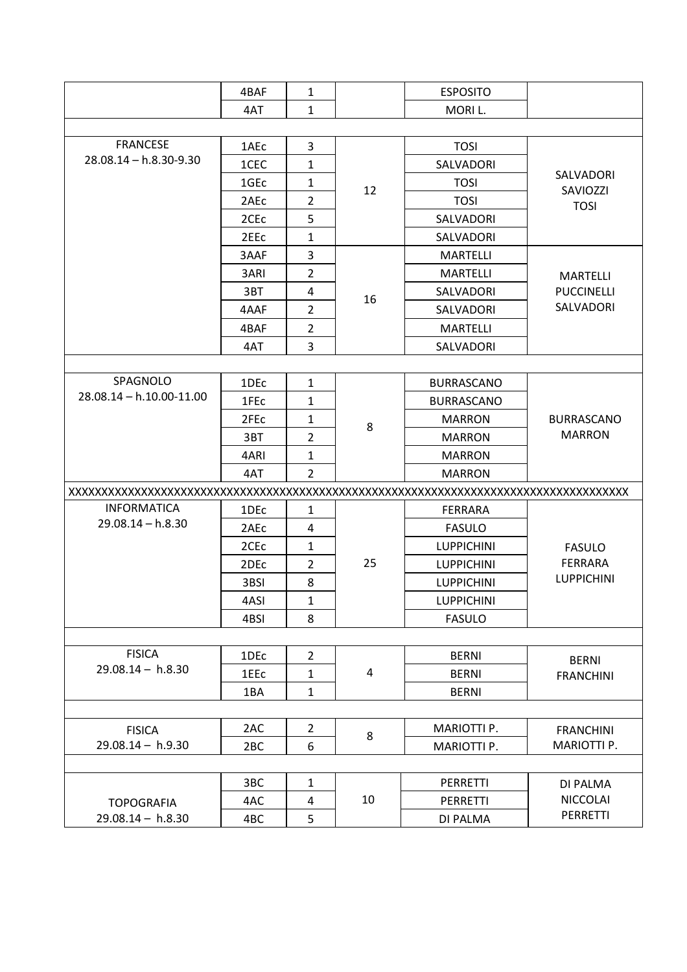|                              | 4BAF             | 1              |    | <b>ESPOSITO</b>    |                                             |
|------------------------------|------------------|----------------|----|--------------------|---------------------------------------------|
|                              | 4AT              | $\mathbf{1}$   |    | MORI L.            |                                             |
|                              |                  |                |    |                    |                                             |
| <b>FRANCESE</b>              | 1AEc             | 3              |    | <b>TOSI</b>        | <b>SALVADORI</b><br>SAVIOZZI<br><b>TOSI</b> |
| $28.08.14 - h.8.30 - 9.30$   | 1CEC             | $\mathbf{1}$   |    | SALVADORI          |                                             |
|                              | 1GE <sub>c</sub> | 1              | 12 | <b>TOSI</b>        |                                             |
|                              | 2AEc             | $\overline{2}$ |    | <b>TOSI</b>        |                                             |
|                              | 2CE <sub>c</sub> | 5              |    | SALVADORI          |                                             |
|                              | 2EE <sub>C</sub> | 1              |    | <b>SALVADORI</b>   |                                             |
|                              | 3AAF             | 3              |    | <b>MARTELLI</b>    |                                             |
|                              | 3ARI             | $\overline{2}$ |    | <b>MARTELLI</b>    | <b>MARTELLI</b>                             |
|                              | 3BT              | 4              | 16 | SALVADORI          | <b>PUCCINELLI</b>                           |
|                              | 4AAF             | $\overline{2}$ |    | SALVADORI          | SALVADORI                                   |
|                              | 4BAF             | $\overline{2}$ |    | <b>MARTELLI</b>    |                                             |
|                              | 4AT              | 3              |    | SALVADORI          |                                             |
|                              |                  |                |    |                    |                                             |
| SPAGNOLO                     | 1DEc             | $\mathbf{1}$   |    | <b>BURRASCANO</b>  |                                             |
| $28.08.14 - h.10.00 - 11.00$ | 1FE <sub>c</sub> | $\mathbf{1}$   | 8  | <b>BURRASCANO</b>  | <b>BURRASCANO</b><br><b>MARRON</b>          |
|                              | 2FE <sub>c</sub> | 1              |    | <b>MARRON</b>      |                                             |
|                              | 3BT              | $\overline{2}$ |    | <b>MARRON</b>      |                                             |
|                              | 4ARI             | 1              |    | <b>MARRON</b>      |                                             |
|                              | 4AT              | $\overline{2}$ |    | <b>MARRON</b>      |                                             |
|                              |                  |                |    |                    |                                             |
| <b>INFORMATICA</b>           | 1DE <sub>C</sub> | $\mathbf{1}$   |    | FERRARA            |                                             |
| $29.08.14 - h.8.30$          | 2AE <sub>C</sub> | 4              |    | <b>FASULO</b>      |                                             |
|                              | 2CEc             | $\mathbf{1}$   |    | <b>LUPPICHINI</b>  | <b>FASULO</b>                               |
|                              | 2DE <sub>c</sub> | $\overline{2}$ | 25 | <b>LUPPICHINI</b>  | <b>FERRARA</b>                              |
|                              | 3BSI             | 8              |    | <b>LUPPICHINI</b>  | <b>LUPPICHINI</b>                           |
|                              | 4ASI             | $\mathbf{1}$   |    | <b>LUPPICHINI</b>  |                                             |
|                              | 4BSI             | 8              |    | <b>FASULO</b>      |                                             |
|                              |                  |                |    |                    |                                             |
| <b>FISICA</b>                | 1DE <sub>c</sub> | $\overline{2}$ |    | <b>BERNI</b>       | <b>BERNI</b>                                |
| $29.08.14 - h.8.30$          | 1EEc             | $\mathbf{1}$   | 4  | <b>BERNI</b>       | <b>FRANCHINI</b>                            |
|                              | 1BA              | $\mathbf{1}$   |    | <b>BERNI</b>       |                                             |
|                              |                  |                |    |                    |                                             |
| <b>FISICA</b>                | 2AC              | $\overline{2}$ | 8  | MARIOTTI P.        | <b>FRANCHINI</b>                            |
| $29.08.14 - h.9.30$          | 2BC              | 6              |    | <b>MARIOTTI P.</b> | MARIOTTI P.                                 |
|                              |                  |                |    |                    |                                             |
|                              | 3BC              | $\mathbf{1}$   |    | PERRETTI           | DI PALMA                                    |
| <b>TOPOGRAFIA</b>            | 4AC              | 4              | 10 | PERRETTI           | <b>NICCOLAI</b>                             |
| $29.08.14 - h.8.30$          | 4BC              | 5              |    | DI PALMA           | PERRETTI                                    |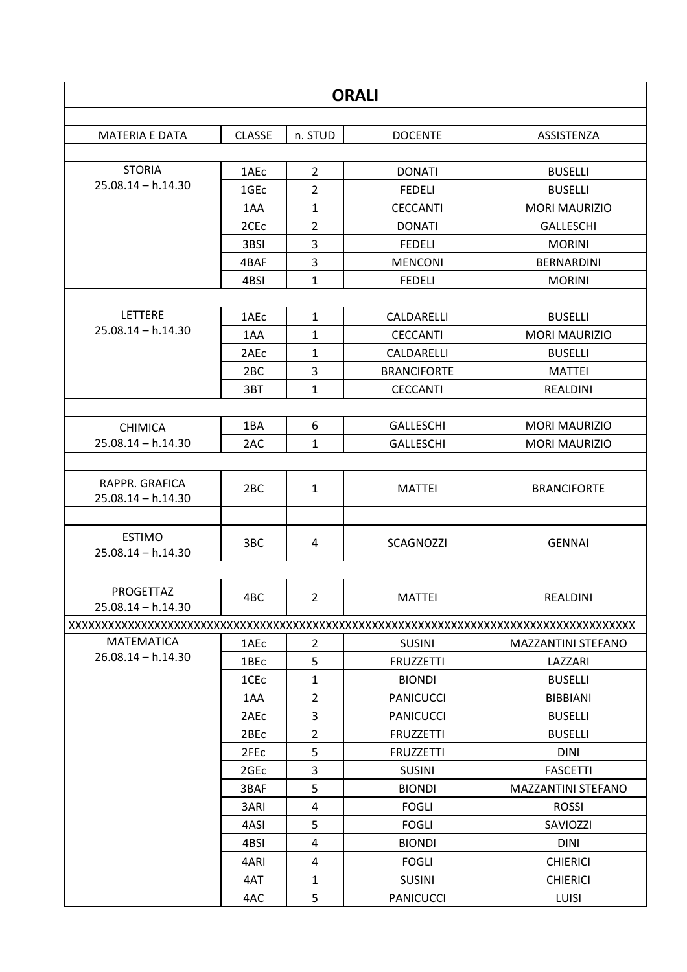| <b>ORALI</b>                           |                  |                |                    |                           |  |
|----------------------------------------|------------------|----------------|--------------------|---------------------------|--|
|                                        |                  |                |                    |                           |  |
| <b>MATERIA E DATA</b>                  | <b>CLASSE</b>    | n. STUD        | <b>DOCENTE</b>     | ASSISTENZA                |  |
|                                        |                  |                |                    |                           |  |
| <b>STORIA</b>                          | 1AEc             | $\overline{2}$ | <b>DONATI</b>      | <b>BUSELLI</b>            |  |
| $25.08.14 - h.14.30$                   | 1GE <sub>c</sub> | $\overline{2}$ | <b>FEDELI</b>      | <b>BUSELLI</b>            |  |
|                                        | 1AA              | $\mathbf{1}$   | <b>CECCANTI</b>    | <b>MORI MAURIZIO</b>      |  |
|                                        | 2CE <sub>C</sub> | $\overline{2}$ | <b>DONATI</b>      | <b>GALLESCHI</b>          |  |
|                                        | 3BSI             | 3              | <b>FEDELI</b>      | <b>MORINI</b>             |  |
|                                        | 4BAF             | 3              | <b>MENCONI</b>     | <b>BERNARDINI</b>         |  |
|                                        | 4BSI             | $\mathbf{1}$   | <b>FEDELI</b>      | <b>MORINI</b>             |  |
|                                        |                  |                |                    |                           |  |
| <b>LETTERE</b>                         | 1AEc             | $\mathbf{1}$   | CALDARELLI         | <b>BUSELLI</b>            |  |
| $25.08.14 - h.14.30$                   | 1AA              | 1              | <b>CECCANTI</b>    | <b>MORI MAURIZIO</b>      |  |
|                                        | 2AE <sub>C</sub> | 1              | CALDARELLI         | <b>BUSELLI</b>            |  |
|                                        | 2 <sub>BC</sub>  | 3              | <b>BRANCIFORTE</b> | <b>MATTEI</b>             |  |
|                                        | 3BT              | $\mathbf{1}$   | <b>CECCANTI</b>    | REALDINI                  |  |
|                                        |                  |                |                    |                           |  |
| <b>CHIMICA</b>                         | 1BA              | 6              | <b>GALLESCHI</b>   | <b>MORI MAURIZIO</b>      |  |
| $25.08.14 - h.14.30$                   | 2AC              | $\mathbf{1}$   | <b>GALLESCHI</b>   | <b>MORI MAURIZIO</b>      |  |
|                                        |                  |                |                    |                           |  |
| RAPPR. GRAFICA<br>$25.08.14 - h.14.30$ | 2 <sub>BC</sub>  | $\mathbf{1}$   | <b>MATTEI</b>      | <b>BRANCIFORTE</b>        |  |
| <b>ESTIMO</b><br>$25.08.14 - h.14.30$  | 3BC              | 4              | <b>SCAGNOZZI</b>   | <b>GENNAI</b>             |  |
| PROGETTAZ<br>$25.08.14 - h.14.30$      | 4BC              | $\overline{2}$ | <b>MATTEI</b>      | REALDINI                  |  |
|                                        |                  |                |                    |                           |  |
| <b>MATEMATICA</b>                      | 1AEc             | $\overline{2}$ | <b>SUSINI</b>      | <b>MAZZANTINI STEFANO</b> |  |
| $26.08.14 - h.14.30$                   | 1BEc             | 5              | <b>FRUZZETTI</b>   | LAZZARI                   |  |
|                                        | 1CE <sub>c</sub> | $\mathbf{1}$   | <b>BIONDI</b>      | <b>BUSELLI</b>            |  |
|                                        | 1AA              | $\overline{2}$ | <b>PANICUCCI</b>   | <b>BIBBIANI</b>           |  |
|                                        | 2AEc             | $\overline{3}$ | <b>PANICUCCI</b>   | <b>BUSELLI</b>            |  |
|                                        | 2BEc             | $\overline{2}$ | <b>FRUZZETTI</b>   | <b>BUSELLI</b>            |  |
|                                        | 2FEc             | 5              | <b>FRUZZETTI</b>   | <b>DINI</b>               |  |
|                                        | 2GE <sub>c</sub> | 3              | <b>SUSINI</b>      | <b>FASCETTI</b>           |  |
|                                        | 3BAF             | 5              | <b>BIONDI</b>      | <b>MAZZANTINI STEFANO</b> |  |
|                                        | 3ARI             | 4              | <b>FOGLI</b>       | <b>ROSSI</b>              |  |
|                                        | 4ASI             | 5              | <b>FOGLI</b>       | SAVIOZZI                  |  |
|                                        | 4BSI             | 4              | <b>BIONDI</b>      | <b>DINI</b>               |  |
|                                        | 4ARI             | 4              | <b>FOGLI</b>       | <b>CHIERICI</b>           |  |
|                                        | 4AT              | $\mathbf{1}$   | <b>SUSINI</b>      | <b>CHIERICI</b>           |  |
|                                        | 4AC              | 5              | <b>PANICUCCI</b>   | <b>LUISI</b>              |  |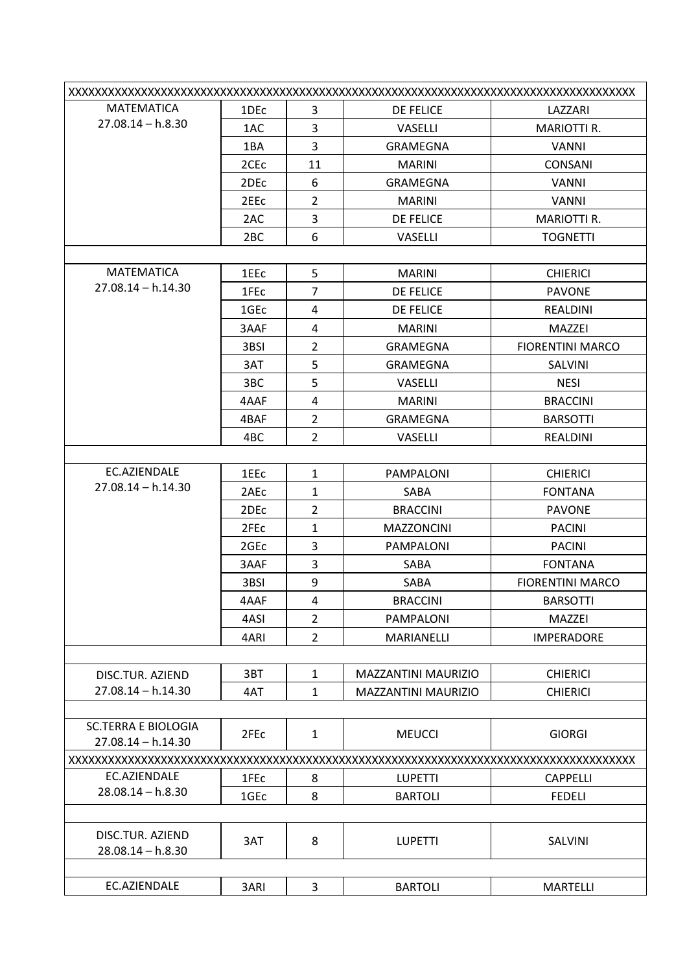| <b>MATEMATICA</b>                       | 1DEc             | 3              | <b>DE FELICE</b>           | LAZZARI                 |
|-----------------------------------------|------------------|----------------|----------------------------|-------------------------|
| $27.08.14 - h.8.30$                     | 1AC              | 3              | VASELLI                    | <b>MARIOTTI R.</b>      |
|                                         | 1BA              | 3              | GRAMEGNA                   | <b>VANNI</b>            |
|                                         | 2CE <sub>C</sub> | 11             | <b>MARINI</b>              | <b>CONSANI</b>          |
|                                         | 2DE <sub>c</sub> | 6              | <b>GRAMEGNA</b>            | <b>VANNI</b>            |
|                                         | 2EEc             | $\overline{2}$ | <b>MARINI</b>              | <b>VANNI</b>            |
|                                         | 2AC              | 3              | <b>DE FELICE</b>           | <b>MARIOTTI R.</b>      |
|                                         | 2 <sub>BC</sub>  | 6              | <b>VASELLI</b>             | <b>TOGNETTI</b>         |
|                                         |                  |                |                            |                         |
| <b>MATEMATICA</b>                       | 1EEc             | 5              | <b>MARINI</b>              | <b>CHIERICI</b>         |
| $27.08.14 - h.14.30$                    | 1FEc             | $\overline{7}$ | <b>DE FELICE</b>           | <b>PAVONE</b>           |
|                                         | 1GE <sub>c</sub> | 4              | DE FELICE                  | <b>REALDINI</b>         |
|                                         | 3AAF             | 4              | <b>MARINI</b>              | MAZZEI                  |
|                                         | 3BSI             | $\overline{2}$ | GRAMEGNA                   | <b>FIORENTINI MARCO</b> |
|                                         | 3AT              | 5              | <b>GRAMEGNA</b>            | SALVINI                 |
|                                         | 3BC              | 5              | VASELLI                    | <b>NESI</b>             |
|                                         | 4AAF             | 4              | <b>MARINI</b>              | <b>BRACCINI</b>         |
|                                         | 4BAF             | $\overline{2}$ | <b>GRAMEGNA</b>            | <b>BARSOTTI</b>         |
|                                         | 4BC              | $\overline{2}$ | VASELLI                    | REALDINI                |
|                                         |                  |                |                            |                         |
| EC.AZIENDALE                            | 1EEc             | $\mathbf{1}$   | PAMPALONI                  | <b>CHIERICI</b>         |
| $27.08.14 - h.14.30$                    | 2AEc             | $\mathbf{1}$   | SABA                       | <b>FONTANA</b>          |
|                                         | 2DEc             | $\overline{2}$ | <b>BRACCINI</b>            | <b>PAVONE</b>           |
|                                         | 2FE <sub>c</sub> | $\mathbf{1}$   | <b>MAZZONCINI</b>          | <b>PACINI</b>           |
|                                         | 2GE <sub>c</sub> | 3              | PAMPALONI                  | <b>PACINI</b>           |
|                                         | 3AAF             | 3              | SABA                       | <b>FONTANA</b>          |
|                                         | 3BSI             | 9              | SABA                       | <b>FIORENTINI MARCO</b> |
|                                         | 4AAF             | 4              | <b>BRACCINI</b>            | <b>BARSOTTI</b>         |
|                                         | 4ASI             | $\overline{2}$ | <b>PAMPALONI</b>           | MAZZEI                  |
|                                         | 4ARI             | $\overline{2}$ | <b>MARIANELLI</b>          | <b>IMPERADORE</b>       |
|                                         |                  |                |                            |                         |
| DISC.TUR. AZIEND                        | 3BT              | $\mathbf{1}$   | MAZZANTINI MAURIZIO        | <b>CHIERICI</b>         |
| $27.08.14 - h.14.30$                    | 4AT              | $\mathbf{1}$   | <b>MAZZANTINI MAURIZIO</b> | <b>CHIERICI</b>         |
|                                         |                  |                |                            |                         |
| <b>SC.TERRA E BIOLOGIA</b>              | 2FEc             | $\mathbf{1}$   | <b>MEUCCI</b>              | <b>GIORGI</b>           |
| $27.08.14 - h.14.30$                    |                  |                |                            |                         |
|                                         |                  |                |                            |                         |
| EC.AZIENDALE                            | 1FEc             | 8              | <b>LUPETTI</b>             | <b>CAPPELLI</b>         |
| $28.08.14 - h.8.30$                     | 1GE <sub>c</sub> | 8              | <b>BARTOLI</b>             | <b>FEDELI</b>           |
|                                         |                  |                |                            |                         |
| DISC.TUR. AZIEND<br>$28.08.14 - h.8.30$ | 3AT              | 8              | <b>LUPETTI</b>             | SALVINI                 |
|                                         |                  |                |                            |                         |
| EC.AZIENDALE                            | 3ARI             | 3              | <b>BARTOLI</b>             | <b>MARTELLI</b>         |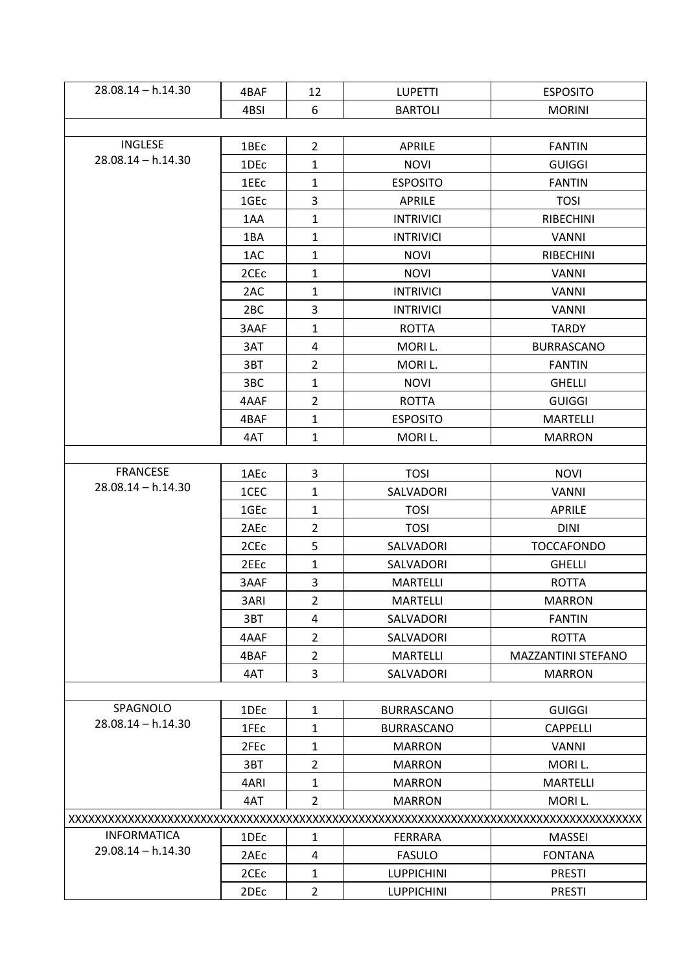| $28.08.14 - h.14.30$ | 4BAF             | 12             | <b>LUPETTI</b>    | <b>ESPOSITO</b>           |  |  |
|----------------------|------------------|----------------|-------------------|---------------------------|--|--|
|                      | 4BSI             | 6              | <b>BARTOLI</b>    | <b>MORINI</b>             |  |  |
|                      |                  |                |                   |                           |  |  |
| <b>INGLESE</b>       | 1BEc             | $\overline{2}$ | <b>APRILE</b>     | <b>FANTIN</b>             |  |  |
| $28.08.14 - h.14.30$ | 1DEc             | $\mathbf{1}$   | <b>NOVI</b>       | <b>GUIGGI</b>             |  |  |
|                      | 1EEc             | $\mathbf{1}$   | <b>ESPOSITO</b>   | <b>FANTIN</b>             |  |  |
|                      | 1GEc             | 3              | APRILE            | <b>TOSI</b>               |  |  |
|                      | 1AA              | $\mathbf{1}$   | <b>INTRIVICI</b>  | <b>RIBECHINI</b>          |  |  |
|                      | 1BA              | $\mathbf{1}$   | <b>INTRIVICI</b>  | <b>VANNI</b>              |  |  |
|                      | 1AC              | $\mathbf{1}$   | <b>NOVI</b>       | <b>RIBECHINI</b>          |  |  |
|                      | 2CE <sub>c</sub> | $\mathbf{1}$   | <b>NOVI</b>       | <b>VANNI</b>              |  |  |
|                      | 2AC              | $\mathbf{1}$   | <b>INTRIVICI</b>  | <b>VANNI</b>              |  |  |
|                      | 2 <sub>BC</sub>  | $\overline{3}$ | <b>INTRIVICI</b>  | <b>VANNI</b>              |  |  |
|                      | 3AAF             | $\mathbf{1}$   | <b>ROTTA</b>      | <b>TARDY</b>              |  |  |
|                      | 3AT              | 4              | MORI L.           | <b>BURRASCANO</b>         |  |  |
|                      | 3BT              | $\overline{2}$ | MORI L.           | <b>FANTIN</b>             |  |  |
|                      | 3BC              | $\mathbf{1}$   | <b>NOVI</b>       | <b>GHELLI</b>             |  |  |
|                      | 4AAF             | $\overline{2}$ | <b>ROTTA</b>      | <b>GUIGGI</b>             |  |  |
|                      | 4BAF             | $\mathbf 1$    | <b>ESPOSITO</b>   | <b>MARTELLI</b>           |  |  |
|                      | 4AT              | $\mathbf{1}$   | MORI L.           | <b>MARRON</b>             |  |  |
|                      |                  |                |                   |                           |  |  |
| <b>FRANCESE</b>      | 1AEc             | 3              | <b>TOSI</b>       | <b>NOVI</b>               |  |  |
| $28.08.14 - h.14.30$ | 1CEC             | $\mathbf{1}$   | SALVADORI         | <b>VANNI</b>              |  |  |
|                      | 1GEc             | $\mathbf{1}$   | <b>TOSI</b>       | <b>APRILE</b>             |  |  |
|                      | 2AEc             | $\overline{2}$ | <b>TOSI</b>       | <b>DINI</b>               |  |  |
|                      | 2CE <sub>c</sub> | 5              | SALVADORI         | <b>TOCCAFONDO</b>         |  |  |
|                      | 2EE <sub>C</sub> | $\mathbf{1}$   | SALVADORI         | <b>GHELLI</b>             |  |  |
|                      | 3AAF             | 3              | <b>MARTELLI</b>   | <b>ROTTA</b>              |  |  |
|                      | 3ARI             | 2              | MARTELLI          | <b>MARRON</b>             |  |  |
|                      | 3BT              | 4              | SALVADORI         | <b>FANTIN</b>             |  |  |
|                      | 4AAF             | $\overline{2}$ | SALVADORI         | <b>ROTTA</b>              |  |  |
|                      | 4BAF             | $\overline{2}$ | <b>MARTELLI</b>   | <b>MAZZANTINI STEFANO</b> |  |  |
|                      | 4AT              | 3              | SALVADORI         | <b>MARRON</b>             |  |  |
|                      |                  |                |                   |                           |  |  |
| SPAGNOLO             | 1DEc             | $\mathbf{1}$   | <b>BURRASCANO</b> | <b>GUIGGI</b>             |  |  |
| $28.08.14 - h.14.30$ | 1FEc             | $\mathbf{1}$   | <b>BURRASCANO</b> | <b>CAPPELLI</b>           |  |  |
|                      | 2FE <sub>c</sub> | $\mathbf{1}$   | <b>MARRON</b>     | <b>VANNI</b>              |  |  |
|                      | 3BT              | $\overline{2}$ | <b>MARRON</b>     | MORI L.                   |  |  |
|                      | 4ARI             | $\mathbf{1}$   | <b>MARRON</b>     | <b>MARTELLI</b>           |  |  |
|                      | 4AT              | $\overline{2}$ | <b>MARRON</b>     | MORI L.                   |  |  |
|                      |                  |                |                   |                           |  |  |
| <b>INFORMATICA</b>   | 1DEc             | $\mathbf{1}$   | FERRARA           | <b>MASSEI</b>             |  |  |
| $29.08.14 - h.14.30$ | 2AEc             | 4              | <b>FASULO</b>     | <b>FONTANA</b>            |  |  |
|                      | 2CE <sub>c</sub> | $\mathbf{1}$   | <b>LUPPICHINI</b> | <b>PRESTI</b>             |  |  |
|                      | 2DEc             | $\overline{2}$ | <b>LUPPICHINI</b> | <b>PRESTI</b>             |  |  |